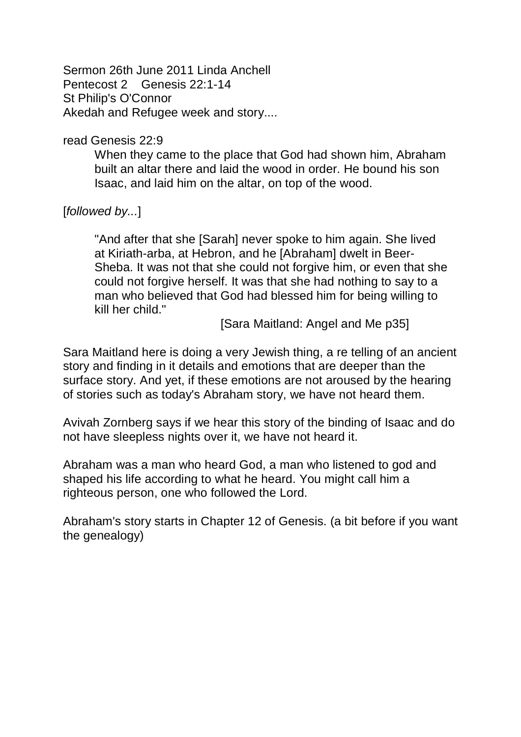Sermon 26th June 2011 Linda Anchell Pentecost 2 Genesis 22:1-14 St Philip's O'Connor Akedah and Refugee week and story....

read Genesis 22:9

When they came to the place that God had shown him, Abraham built an altar there and laid the wood in order. He bound his son Isaac, and laid him on the altar, on top of the wood.

[*followed by...*]

"And after that she [Sarah] never spoke to him again. She lived at Kiriath-arba, at Hebron, and he [Abraham] dwelt in Beer-Sheba. It was not that she could not forgive him, or even that she could not forgive herself. It was that she had nothing to say to a man who believed that God had blessed him for being willing to kill her child."

[Sara Maitland: Angel and Me p35]

Sara Maitland here is doing a very Jewish thing, a re telling of an ancient story and finding in it details and emotions that are deeper than the surface story. And yet, if these emotions are not aroused by the hearing of stories such as today's Abraham story, we have not heard them.

Avivah Zornberg says if we hear this story of the binding of Isaac and do not have sleepless nights over it, we have not heard it.

Abraham was a man who heard God, a man who listened to god and shaped his life according to what he heard. You might call him a righteous person, one who followed the Lord.

Abraham's story starts in Chapter 12 of Genesis. (a bit before if you want the genealogy)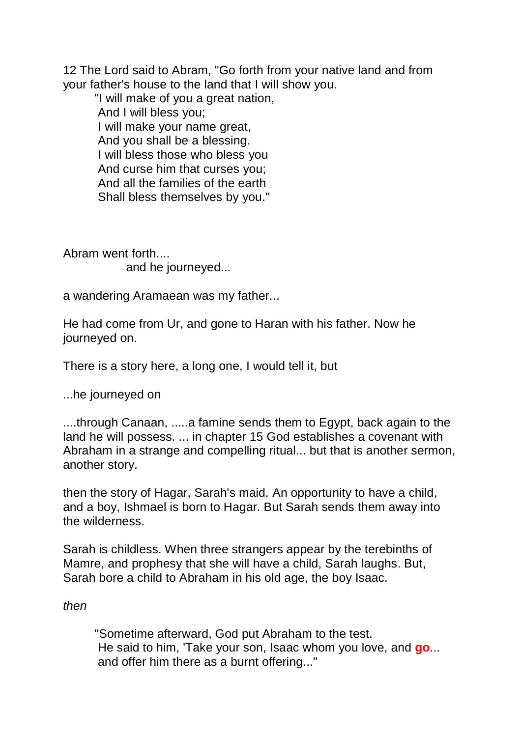12 The Lord said to Abram, "Go forth from your native land and from your father's house to the land that I will show you.

"I will make of you a great nation, And I will bless you; I will make your name great, And you shall be a blessing. I will bless those who bless you And curse him that curses you; And all the families of the earth Shall bless themselves by you."

Abram went forth....

and he journeyed...

a wandering Aramaean was my father...

He had come from Ur, and gone to Haran with his father. Now he journeyed on.

There is a story here, a long one, I would tell it, but

...he journeyed on

....through Canaan, .....a famine sends them to Egypt, back again to the land he will possess. ... in chapter 15 God establishes a covenant with Abraham in a strange and compelling ritual... but that is another sermon, another story.

then the story of Hagar, Sarah's maid. An opportunity to have a child, and a boy, Ishmael is born to Hagar. But Sarah sends them away into the wilderness.

Sarah is childless. When three strangers appear by the terebinths of Mamre, and prophesy that she will have a child, Sarah laughs. But, Sarah bore a child to Abraham in his old age, the boy Isaac.

*then* 

"Sometime afterward, God put Abraham to the test. He said to him, 'Take your son, Isaac whom you love, and **go**... and offer him there as a burnt offering..."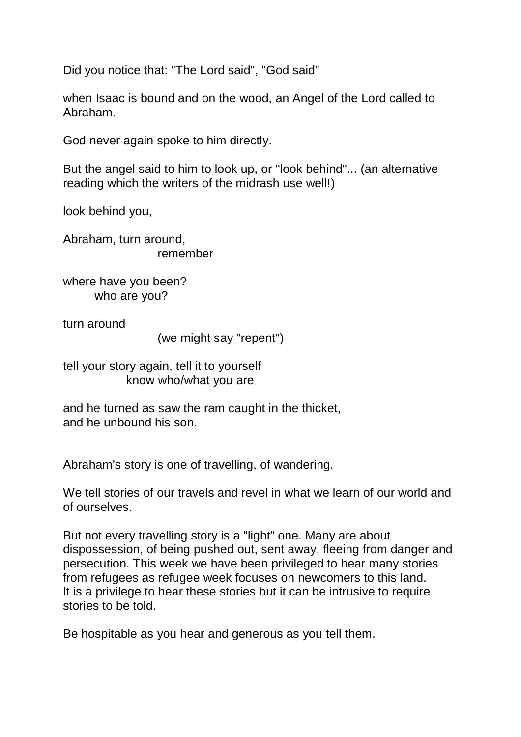Did you notice that: "The Lord said", "God said"

when Isaac is bound and on the wood, an Angel of the Lord called to Abraham.

God never again spoke to him directly.

But the angel said to him to look up, or "look behind"... (an alternative reading which the writers of the midrash use well!)

look behind you,

Abraham, turn around, remember

where have you been? who are you?

turn around

(we might say "repent")

tell your story again, tell it to yourself know who/what you are

and he turned as saw the ram caught in the thicket, and he unbound his son.

Abraham's story is one of travelling, of wandering.

We tell stories of our travels and revel in what we learn of our world and of ourselves.

But not every travelling story is a "light" one. Many are about dispossession, of being pushed out, sent away, fleeing from danger and persecution. This week we have been privileged to hear many stories from refugees as refugee week focuses on newcomers to this land. It is a privilege to hear these stories but it can be intrusive to require stories to be told.

Be hospitable as you hear and generous as you tell them.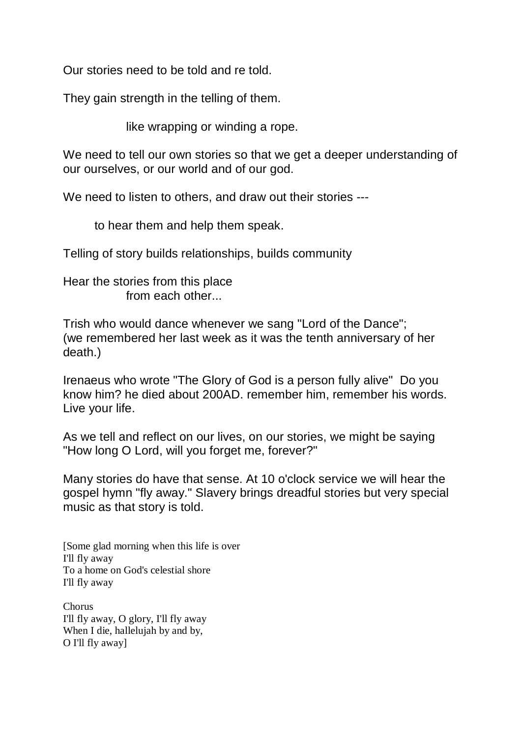Our stories need to be told and re told.

They gain strength in the telling of them.

like wrapping or winding a rope.

We need to tell our own stories so that we get a deeper understanding of our ourselves, or our world and of our god.

We need to listen to others, and draw out their stories ---

to hear them and help them speak.

Telling of story builds relationships, builds community

Hear the stories from this place from each other...

Trish who would dance whenever we sang "Lord of the Dance"; (we remembered her last week as it was the tenth anniversary of her death.)

Irenaeus who wrote "The Glory of God is a person fully alive" Do you know him? he died about 200AD. remember him, remember his words. Live your life.

As we tell and reflect on our lives, on our stories, we might be saying "How long O Lord, will you forget me, forever?"

Many stories do have that sense. At 10 o'clock service we will hear the gospel hymn "fly away." Slavery brings dreadful stories but very special music as that story is told.

[Some glad morning when this life is over I'll fly away To a home on God's celestial shore I'll fly away

Chorus I'll fly away, O glory, I'll fly away When I die, hallelujah by and by, O I'll fly away]